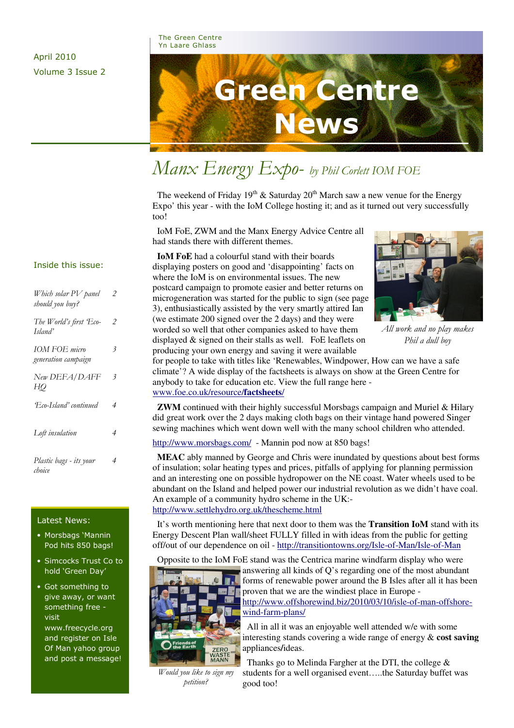### April 2010 Volume 3 Issue 2

The Green Centre Yn Laare Ghlass



# Manx Energy Expo- by Phil Corlett IOM FOE

The weekend of Friday  $19<sup>th</sup>$  & Saturday  $20<sup>th</sup>$  March saw a new venue for the Energy Expo' this year - with the IoM College hosting it; and as it turned out very successfully too!

 IoM FoE, ZWM and the Manx Energy Advice Centre all had stands there with different themes.

 **IoM FoE** had a colourful stand with their boards displaying posters on good and 'disappointing' facts on where the IoM is on environmental issues. The new postcard campaign to promote easier and better returns on microgeneration was started for the public to sign (see page 3), enthusiastically assisted by the very smartly attired Ian (we estimate 200 signed over the 2 days) and they were worded so well that other companies asked to have them displayed & signed on their stalls as well. FoE leaflets on producing your own energy and saving it were available



All work and no play makes Phil a dull boy

for people to take with titles like 'Renewables, Windpower, How can we have a safe climate'? A wide display of the factsheets is always on show at the Green Centre for anybody to take for education etc. View the full range here www.foe.co.uk/resource/**factsheets**/

**ZWM** continued with their highly successful Morsbags campaign and Muriel & Hilary did great work over the 2 days making cloth bags on their vintage hand powered Singer sewing machines which went down well with the many school children who attended.

http://www.morsbags.com/ - Mannin pod now at 850 bags!

 **MEAC** ably manned by George and Chris were inundated by questions about best forms of insulation; solar heating types and prices, pitfalls of applying for planning permission and an interesting one on possible hydropower on the NE coast. Water wheels used to be abundant on the Island and helped power our industrial revolution as we didn't have coal. An example of a community hydro scheme in the UK: http://www.settlehydro.org.uk/thescheme.html

 It's worth mentioning here that next door to them was the **Transition IoM** stand with its Energy Descent Plan wall/sheet FULLY filled in with ideas from the public for getting off/out of our dependence on oil - http://transitiontowns.org/Isle-of-Man/Isle-of-Man

Opposite to the IoM FoE stand was the Centrica marine windfarm display who were answering all kinds of Q's regarding one of the most abundant



Would you like to sign my petition?

forms of renewable power around the B Isles after all it has been proven that we are the windiest place in Europe http://www.offshorewind.biz/2010/03/10/isle-of-man-offshorewind-farm-plans/

 All in all it was an enjoyable well attended w/e with some interesting stands covering a wide range of energy & **cost saving**  appliances**/**ideas.

 Thanks go to Melinda Fargher at the DTI, the college & students for a well organised event…..the Saturday buffet was good too!

#### Inside this issue:

| Which solar PV panel<br>should you buy? | 2              |
|-----------------------------------------|----------------|
| The World's first Eco-<br>Island'       | $\overline{2}$ |
| IOM FOE micro<br>generation campaign    | 3              |
| New DEFA/DAFF<br>HO                     | 3              |
| Eco-Island' continued                   | $\overline{4}$ |
| Loft insulation                         | 4              |
| Plastic bags - its your<br>choice       | 4              |

#### Latest News:

- Morsbags 'Mannin Pod hits 850 bags!
- Simcocks Trust Co to hold 'Green Day'
- Got something to give away, or want something free visit www.freecycle.org and register on Isle Of Man yahoo group and post a message!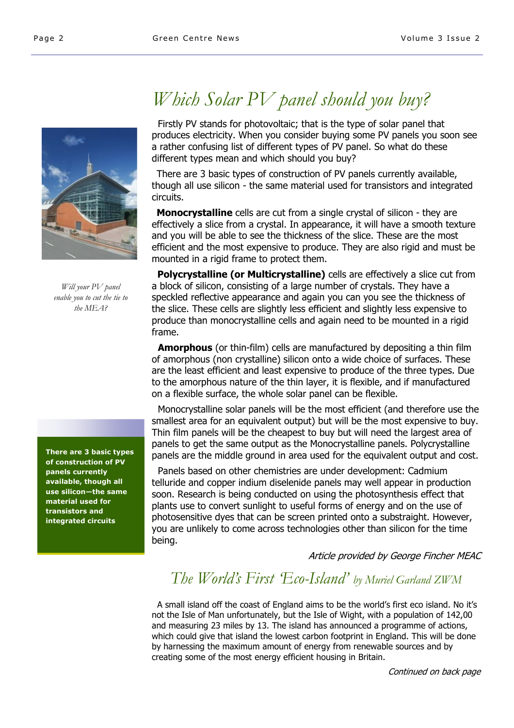

Will your PV panel enable you to cut the tie to the MEA?

#### There are 3 basic types of construction of PV panels currently available, though all use silicon—the same material used for transistors and integrated circuits

# Which Solar PV panel should you buy?

 Firstly PV stands for photovoltaic; that is the type of solar panel that produces electricity. When you consider buying some PV panels you soon see a rather confusing list of different types of PV panel. So what do these different types mean and which should you buy?

 There are 3 basic types of construction of PV panels currently available, though all use silicon - the same material used for transistors and integrated circuits.

Monocrystalline cells are cut from a single crystal of silicon - they are effectively a slice from a crystal. In appearance, it will have a smooth texture and you will be able to see the thickness of the slice. These are the most efficient and the most expensive to produce. They are also rigid and must be mounted in a rigid frame to protect them.

**Polycrystalline (or Multicrystalline)** cells are effectively a slice cut from a block of silicon, consisting of a large number of crystals. They have a speckled reflective appearance and again you can you see the thickness of the slice. These cells are slightly less efficient and slightly less expensive to produce than monocrystalline cells and again need to be mounted in a rigid frame.

**Amorphous** (or thin-film) cells are manufactured by depositing a thin film of amorphous (non crystalline) silicon onto a wide choice of surfaces. These are the least efficient and least expensive to produce of the three types. Due to the amorphous nature of the thin layer, it is flexible, and if manufactured on a flexible surface, the whole solar panel can be flexible.

 Monocrystalline solar panels will be the most efficient (and therefore use the smallest area for an equivalent output) but will be the most expensive to buy. Thin film panels will be the cheapest to buy but will need the largest area of panels to get the same output as the Monocrystalline panels. Polycrystalline panels are the middle ground in area used for the equivalent output and cost.

 Panels based on other chemistries are under development: Cadmium telluride and copper indium diselenide panels may well appear in production soon. Research is being conducted on using the photosynthesis effect that plants use to convert sunlight to useful forms of energy and on the use of photosensitive dyes that can be screen printed onto a substraight. However, you are unlikely to come across technologies other than silicon for the time being.

Article provided by George Fincher MEAC

## The World's First 'Eco-Island' by Muriel Garland ZWM

 A small island off the coast of England aims to be the world's first eco island. No it's not the Isle of Man unfortunately, but the Isle of Wight, with a population of 142,00 and measuring 23 miles by 13. The island has announced a programme of actions, which could give that island the lowest carbon footprint in England. This will be done by harnessing the maximum amount of energy from renewable sources and by creating some of the most energy efficient housing in Britain.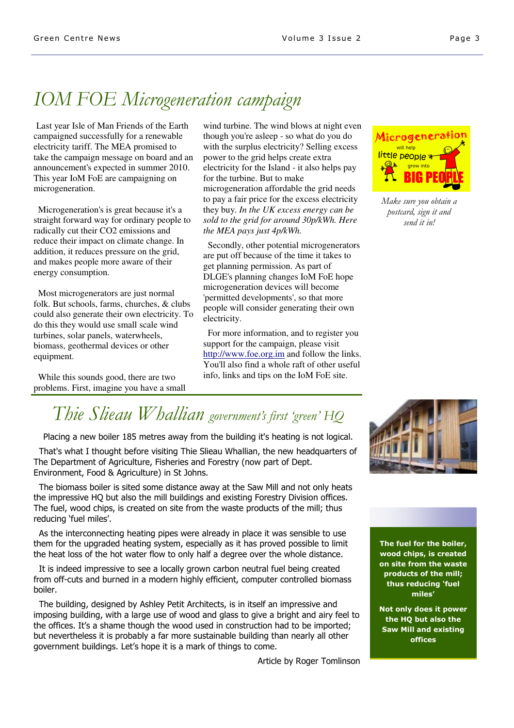# IOM FOE Microgeneration campaign

Last year Isle of Man Friends of the Earth campaigned successfully for a renewable electricity tariff. The MEA promised to take the campaign message on board and an announcement's expected in summer 2010. This year IoM FoE are campaigning on microgeneration.

 Microgeneration's is great because it's a straight forward way for ordinary people to radically cut their CO2 emissions and reduce their impact on climate change. In addition, it reduces pressure on the grid, and makes people more aware of their energy consumption.

Most microgenerators are just normal folk. But schools, farms, churches, & clubs could also generate their own electricity. To do this they would use small scale wind turbines, solar panels, waterwheels, biomass, geothermal devices or other equipment.

 While this sounds good, there are two problems. First, imagine you have a small

wind turbine. The wind blows at night even though you're asleep - so what do you do with the surplus electricity? Selling excess power to the grid helps create extra electricity for the Island - it also helps pay for the turbine. But to make microgeneration affordable the grid needs to pay a fair price for the excess electricity they buy. *In the UK excess energy can be sold to the grid for around 30p/kWh. Here the MEA pays just 4p/kWh.* 

 Secondly, other potential microgenerators are put off because of the time it takes to get planning permission. As part of DLGE's planning changes IoM FoE hope microgeneration devices will become 'permitted developments', so that more people will consider generating their own electricity.

 For more information, and to register you support for the campaign, please visit http://www.foe.org.im and follow the links. You'll also find a whole raft of other useful info, links and tips on the IoM FoE site.



Make sure you obtain a postcard, sign it and send it in!

## Thie Slieau Whallian government's first 'green' HQ

Placing a new boiler 185 metres away from the building it's heating is not logical.

 That's what I thought before visiting Thie Slieau Whallian, the new headquarters of The Department of Agriculture, Fisheries and Forestry (now part of Dept. Environment, Food & Agriculture) in St Johns.

 The biomass boiler is sited some distance away at the Saw Mill and not only heats the impressive HQ but also the mill buildings and existing Forestry Division offices. The fuel, wood chips, is created on site from the waste products of the mill; thus reducing 'fuel miles'.

 As the interconnecting heating pipes were already in place it was sensible to use them for the upgraded heating system, especially as it has proved possible to limit the heat loss of the hot water flow to only half a degree over the whole distance.

 It is indeed impressive to see a locally grown carbon neutral fuel being created from off-cuts and burned in a modern highly efficient, computer controlled biomass boiler.

 The building, designed by Ashley Petit Architects, is in itself an impressive and imposing building, with a large use of wood and glass to give a bright and airy feel to the offices. It's a shame though the wood used in construction had to be imported; but nevertheless it is probably a far more sustainable building than nearly all other government buildings. Let's hope it is a mark of things to come.



The fuel for the boiler, wood chips, is created on site from the waste products of the mill; thus reducing 'fuel miles'

Not only does it power the HQ but also the Saw Mill and existing offices

Article by Roger Tomlinson